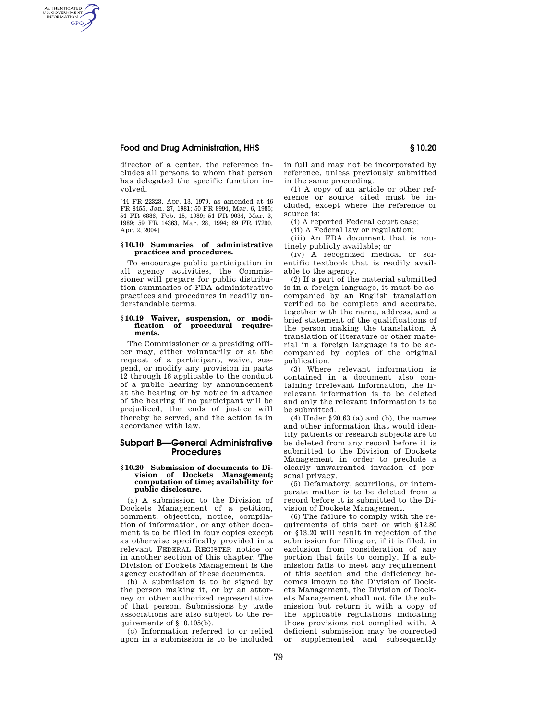# **Food and Drug Administration, HHS § 10.20**

AUTHENTICATED<br>U.S. GOVERNMENT<br>INFORMATION **GPO** 

> director of a center, the reference includes all persons to whom that person has delegated the specific function involved.

> [44 FR 22323, Apr. 13, 1979, as amended at 46 FR 8455, Jan. 27, 1981; 50 FR 8994, Mar. 6, 1985; 54 FR 6886, Feb. 15, 1989; 54 FR 9034, Mar. 3, 1989; 59 FR 14363, Mar. 28, 1994; 69 FR 17290, Apr. 2, 2004]

### **§ 10.10 Summaries of administrative practices and procedures.**

To encourage public participation in all agency activities, the Commissioner will prepare for public distribution summaries of FDA administrative practices and procedures in readily understandable terms.

#### **§ 10.19 Waiver, suspension, or modification of procedural requirements.**

The Commissioner or a presiding officer may, either voluntarily or at the request of a participant, waive, suspend, or modify any provision in parts 12 through 16 applicable to the conduct of a public hearing by announcement at the hearing or by notice in advance of the hearing if no participant will be prejudiced, the ends of justice will thereby be served, and the action is in accordance with law.

# **Subpart B—General Administrative Procedures**

#### **§ 10.20 Submission of documents to Division of Dockets Management; computation of time; availability for public disclosure.**

(a) A submission to the Division of Dockets Management of a petition, comment, objection, notice, compilation of information, or any other document is to be filed in four copies except as otherwise specifically provided in a relevant FEDERAL REGISTER notice or in another section of this chapter. The Division of Dockets Management is the agency custodian of these documents.

(b) A submission is to be signed by the person making it, or by an attorney or other authorized representative of that person. Submissions by trade associations are also subject to the requirements of  $$10,105(b)$ .

(c) Information referred to or relied upon in a submission is to be included in full and may not be incorporated by reference, unless previously submitted in the same proceeding.

(1) A copy of an article or other reference or source cited must be included, except where the reference or source is:

(i) A reported Federal court case;

(ii) A Federal law or regulation; (iii) An FDA document that is rou-

tinely publicly available; or

(iv) A recognized medical or scientific textbook that is readily available to the agency.

(2) If a part of the material submitted is in a foreign language, it must be accompanied by an English translation verified to be complete and accurate, together with the name, address, and a brief statement of the qualifications of the person making the translation. A translation of literature or other material in a foreign language is to be accompanied by copies of the original publication.

(3) Where relevant information is contained in a document also containing irrelevant information, the irrelevant information is to be deleted and only the relevant information is to be submitted.

(4) Under §20.63 (a) and (b), the names and other information that would identify patients or research subjects are to be deleted from any record before it is submitted to the Division of Dockets Management in order to preclude a clearly unwarranted invasion of personal privacy.

(5) Defamatory, scurrilous, or intemperate matter is to be deleted from a record before it is submitted to the Division of Dockets Management.

(6) The failure to comply with the requirements of this part or with §12.80 or §13.20 will result in rejection of the submission for filing or, if it is filed, in exclusion from consideration of any portion that fails to comply. If a submission fails to meet any requirement of this section and the deficiency becomes known to the Division of Dockets Management, the Division of Dockets Management shall not file the submission but return it with a copy of the applicable regulations indicating those provisions not complied with. A deficient submission may be corrected or supplemented and subsequently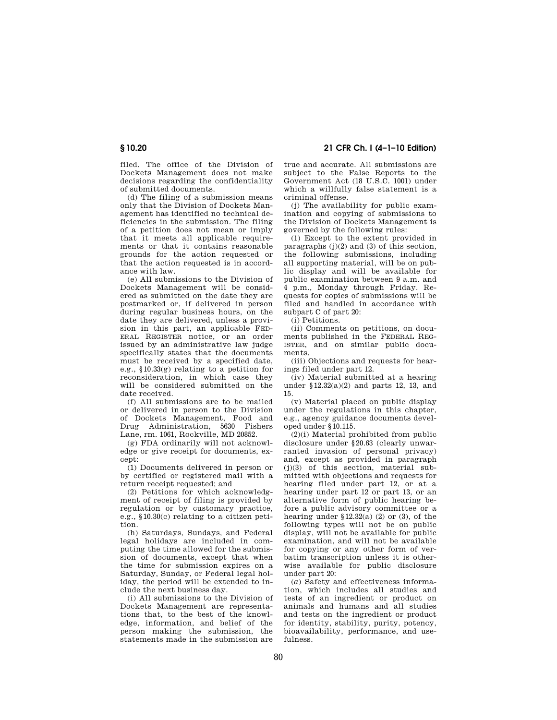filed. The office of the Division of Dockets Management does not make decisions regarding the confidentiality of submitted documents.

(d) The filing of a submission means only that the Division of Dockets Management has identified no technical deficiencies in the submission. The filing of a petition does not mean or imply that it meets all applicable requirements or that it contains reasonable grounds for the action requested or that the action requested is in accordance with law.

(e) All submissions to the Division of Dockets Management will be considered as submitted on the date they are postmarked or, if delivered in person during regular business hours, on the date they are delivered, unless a provision in this part, an applicable FED-ERAL REGISTER notice, or an order issued by an administrative law judge specifically states that the documents must be received by a specified date, e.g., §10.33(g) relating to a petition for reconsideration, in which case they will be considered submitted on the date received.

(f) All submissions are to be mailed or delivered in person to the Division of Dockets Management, Food and Drug Administration, 5630 Fishers Lane, rm. 1061, Rockville, MD 20852.

(g) FDA ordinarily will not acknowledge or give receipt for documents, except:

(1) Documents delivered in person or by certified or registered mail with a return receipt requested; and

(2) Petitions for which acknowledgment of receipt of filing is provided by regulation or by customary practice, e.g., §10.30(c) relating to a citizen petition.

(h) Saturdays, Sundays, and Federal legal holidays are included in computing the time allowed for the submission of documents, except that when the time for submission expires on a Saturday, Sunday, or Federal legal holiday, the period will be extended to include the next business day.

(i) All submissions to the Division of Dockets Management are representations that, to the best of the knowledge, information, and belief of the person making the submission, the statements made in the submission are

**§ 10.20 21 CFR Ch. I (4–1–10 Edition)** 

true and accurate. All submissions are subject to the False Reports to the Government Act (18 U.S.C. 1001) under which a willfully false statement is a criminal offense.

(j) The availability for public examination and copying of submissions to the Division of Dockets Management is governed by the following rules:

(1) Except to the extent provided in paragraphs  $(j)(2)$  and  $(3)$  of this section, the following submissions, including all supporting material, will be on public display and will be available for public examination between 9 a.m. and 4 p.m., Monday through Friday. Requests for copies of submissions will be filed and handled in accordance with subpart C of part 20:

(i) Petitions.

(ii) Comments on petitions, on documents published in the FEDERAL REG-ISTER, and on similar public documents.

(iii) Objections and requests for hearings filed under part 12.

(iv) Material submitted at a hearing under §12.32(a)(2) and parts 12, 13, and 15.

(v) Material placed on public display under the regulations in this chapter, e.g., agency guidance documents developed under §10.115.

(2)(i) Material prohibited from public disclosure under §20.63 (clearly unwarranted invasion of personal privacy) and, except as provided in paragraph (j)(3) of this section, material submitted with objections and requests for hearing filed under part 12, or at a hearing under part 12 or part 13, or an alternative form of public hearing before a public advisory committee or a hearing under  $$12.32(a)$  (2) or (3), of the following types will not be on public display, will not be available for public examination, and will not be available for copying or any other form of verbatim transcription unless it is otherwise available for public disclosure under part 20:

(*a*) Safety and effectiveness information, which includes all studies and tests of an ingredient or product on animals and humans and all studies and tests on the ingredient or product for identity, stability, purity, potency, bioavailability, performance, and usefulness.